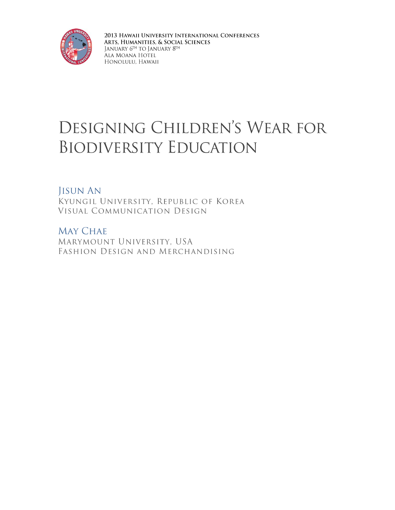

2013 HAWAII UNIVERSITY INTERNATIONAL CONFERENCES ARTS, HUMANITIES, & SOCIAL SCIENCES JANUARY 6TH TO JANUARY 8TH .<br>Ala Moana Hotel HONOLULU, HAWAII

# DESIGNING CHILDREN'S WEAR FOR **BIODIVERSITY EDUCATION**

### **JISUN AN**

KYUNGIL UNIVERSITY, REPUBLIC OF KOREA VISUAL COMMUNICATION DESIGN

**MAY CHAE** MARYMOUNT UNIVERSITY, USA FASHION DESIGN AND MERCHANDISING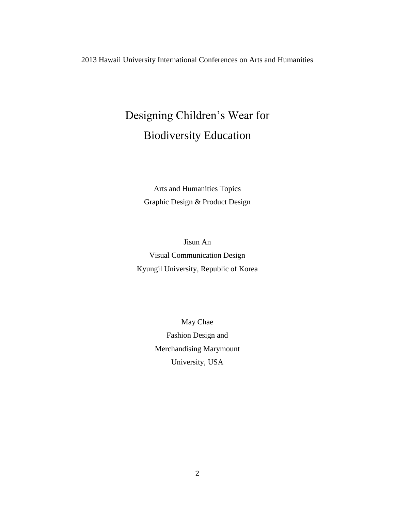2013 Hawaii University International Conferences on Arts and Humanities

## Designing Children's Wear for Biodiversity Education

Arts and Humanities Topics Graphic Design & Product Design

Jisun An Visual Communication Design Kyungil University, Republic of Korea

> May Chae Fashion Design and Merchandising Marymount University, USA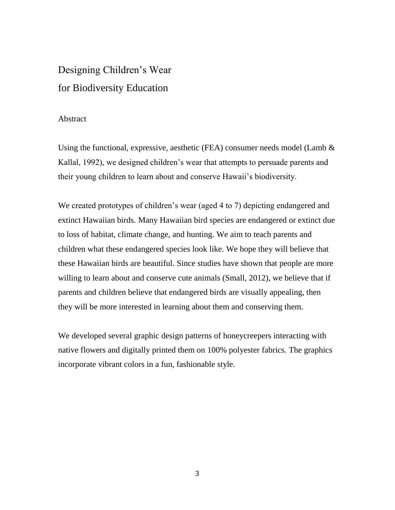### Designing Children's Wear for Biodiversity Education

#### Abstract

Using the functional, expressive, aesthetic (FEA) consumer needs model (Lamb  $\&$ Kallal, 1992), we designed children's wear that attempts to persuade parents and their young children to learn about and conserve Hawaii's biodiversity.

We created prototypes of children's wear (aged 4 to 7) depicting endangered and extinct Hawaiian birds. Many Hawaiian bird species are endangered or extinct due to loss of habitat, climate change, and hunting. We aim to teach parents and children what these endangered species look like. We hope they will believe that these Hawaiian birds are beautiful. Since studies have shown that people are more willing to learn about and conserve cute animals (Small, 2012), we believe that if parents and children believe that endangered birds are visually appealing, then they will be more interested in learning about them and conserving them.

We developed several graphic design patterns of honeycreepers interacting with native flowers and digitally printed them on 100% polyester fabrics. The graphics incorporate vibrant colors in a fun, fashionable style.